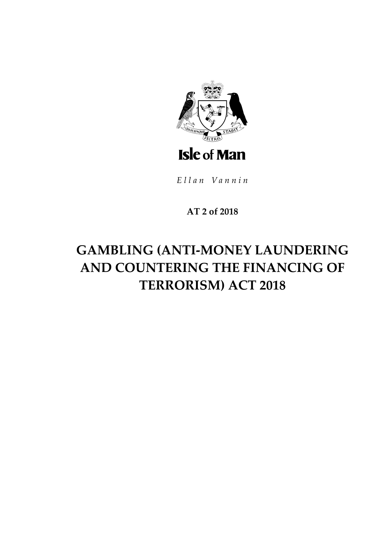

Ellan Vannin

## **AT 2 of 2018**

## **GAMBLING (ANTI-MONEY LAUNDERING AND COUNTERING THE FINANCING OF TERRORISM) ACT 2018**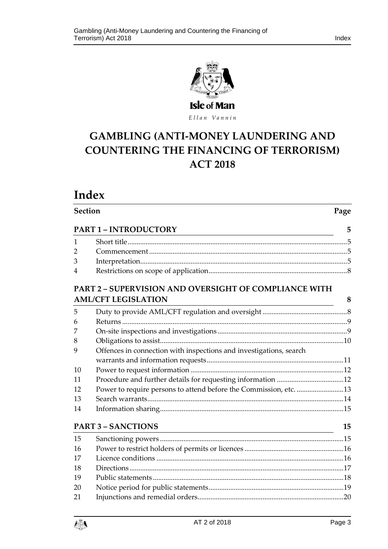



# ELLER VARILE<br>GAMBLING (ANTI-MONEY LAUNDERING AND **COUNTERING THE FINANCING OF TERRORISM) ACT 2018**

**Section Page**

## **Index**

|                | <b>PART 1 - INTRODUCTORY</b><br><u> 1989 - Johann Barbara, martin amerikan basar dan basa dan basa dan basa dan basa dan basa dan basa dan basa</u> | 5  |
|----------------|-----------------------------------------------------------------------------------------------------------------------------------------------------|----|
| 1              |                                                                                                                                                     |    |
| $\overline{2}$ |                                                                                                                                                     |    |
| 3              |                                                                                                                                                     |    |
| 4              |                                                                                                                                                     |    |
|                | PART 2 - SUPERVISION AND OVERSIGHT OF COMPLIANCE WITH                                                                                               |    |
|                | <b>AML/CFT LEGISLATION</b>                                                                                                                          | 8  |
| 5              |                                                                                                                                                     |    |
| 6              |                                                                                                                                                     |    |
|                |                                                                                                                                                     |    |
| 8              |                                                                                                                                                     |    |
| 9              | Offences in connection with inspections and investigations, search                                                                                  |    |
|                |                                                                                                                                                     |    |
| 10             |                                                                                                                                                     |    |
| 11             |                                                                                                                                                     |    |
| 12             | Power to require persons to attend before the Commission, etc. 13                                                                                   |    |
| 13             |                                                                                                                                                     |    |
| 14             |                                                                                                                                                     |    |
|                | <b>PART 3 - SANCTIONS</b>                                                                                                                           | 15 |

| 15 |  |
|----|--|
| 16 |  |
| 17 |  |
| 18 |  |
| 19 |  |
| 20 |  |
| 21 |  |
|    |  |

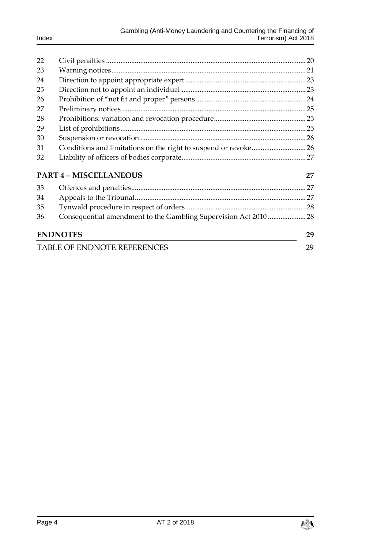| 22                          |                                                                  |     |
|-----------------------------|------------------------------------------------------------------|-----|
| 23                          |                                                                  |     |
| 24                          |                                                                  |     |
| 25                          |                                                                  |     |
| 26                          |                                                                  |     |
| 27                          |                                                                  |     |
| 28                          |                                                                  |     |
| 29                          |                                                                  |     |
| 30                          |                                                                  |     |
| 31                          |                                                                  |     |
| 32                          |                                                                  |     |
|                             | <b>PART 4 - MISCELLANEOUS</b>                                    | 27  |
| 33                          |                                                                  | .27 |
| 34                          |                                                                  |     |
| 35                          |                                                                  |     |
| 36                          | Consequential amendment to the Gambling Supervision Act 2010  28 |     |
|                             | <b>ENDNOTES</b>                                                  | 29  |
| TABLE OF ENDNOTE REFERENCES |                                                                  |     |

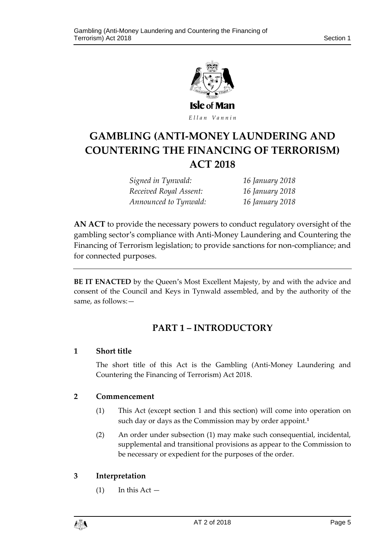

## ELLER VARILE<br>GAMBLING (ANTI-MONEY LAUNDERING AND **COUNTERING THE FINANCING OF TERRORISM) ACT 2018**

*Signed in Tynwald: 16 January 2018 Received Royal Assent: 16 January 2018 Announced to Tynwald: 16 January 2018*

**AN ACT** to provide the necessary powers to conduct regulatory oversight of the gambling sector's compliance with Anti-Money Laundering and Countering the Financing of Terrorism legislation; to provide sanctions for non-compliance; and for connected purposes.

<span id="page-4-0"></span>**BE IT ENACTED** by the Queen's Most Excellent Majesty, by and with the advice and consent of the Council and Keys in Tynwald assembled, and by the authority of the same, as follows:—

### **PART 1 – INTRODUCTORY**

#### <span id="page-4-1"></span>**1 Short title**

The short title of this Act is the Gambling (Anti-Money Laundering and Countering the Financing of Terrorism) Act 2018.

#### <span id="page-4-2"></span>**2 Commencement**

- (1) This Act (except section 1 and this section) will come into operation on such day or days as the Commission may by order appoint.**<sup>1</sup>**
- (2) An order under subsection (1) may make such consequential, incidental, supplemental and transitional provisions as appear to the Commission to be necessary or expedient for the purposes of the order.

#### <span id="page-4-3"></span>**3 Interpretation**

 $(1)$  In this Act  $-$ 

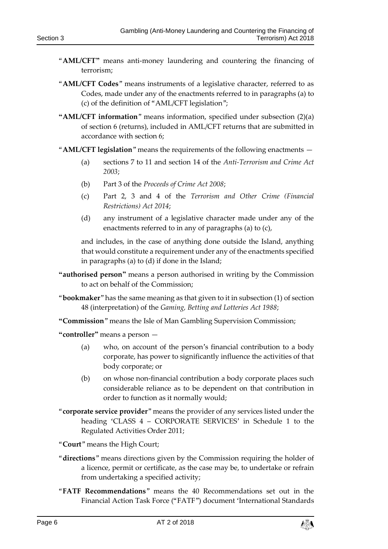- "**AML/CFT"** means anti-money laundering and countering the financing of terrorism;
- "**AML/CFT Codes**" means instruments of a legislative character, referred to as Codes, made under any of the enactments referred to in paragraphs (a) to (c) of the definition of "AML/CFT legislation";
- **"AML/CFT information**" means information, specified under subsection (2)(a) of section 6 (returns), included in AML/CFT returns that are submitted in accordance with section 6;
- "**AML/CFT legislation**" means the requirements of the following enactments
	- (a) sections 7 to 11 and section 14 of the *Anti-Terrorism and Crime Act 2003*;
	- (b) Part 3 of the *Proceeds of Crime Act 2008*;
	- (c) Part 2, 3 and 4 of the *Terrorism and Other Crime (Financial Restrictions) Act 2014*;
	- (d) any instrument of a legislative character made under any of the enactments referred to in any of paragraphs (a) to (c),

and includes, in the case of anything done outside the Island, anything that would constitute a requirement under any of the enactments specified in paragraphs (a) to (d) if done in the Island;

- **"authorised person"** means a person authorised in writing by the Commission to act on behalf of the Commission;
- "**bookmaker**" has the same meaning as that given to it in subsection (1) of section 48 (interpretation) of the *Gaming, Betting and Lotteries Act 1988*;
- **"Commission**" means the Isle of Man Gambling Supervision Commission;

**"controller"** means a person —

- (a) who, on account of the person's financial contribution to a body corporate, has power to significantly influence the activities of that body corporate; or
- (b) on whose non-financial contribution a body corporate places such considerable reliance as to be dependent on that contribution in order to function as it normally would;
- "**corporate service provider**" means the provider of any services listed under the heading 'CLASS 4 – CORPORATE SERVICES' in Schedule 1 to the Regulated Activities Order 2011;
- "**Court**" means the High Court;
- "**directions**" means directions given by the Commission requiring the holder of a licence, permit or certificate, as the case may be, to undertake or refrain from undertaking a specified activity;
- "**FATF Recommendations**" means the 40 Recommendations set out in the Financial Action Task Force ("FATF") document 'International Standards

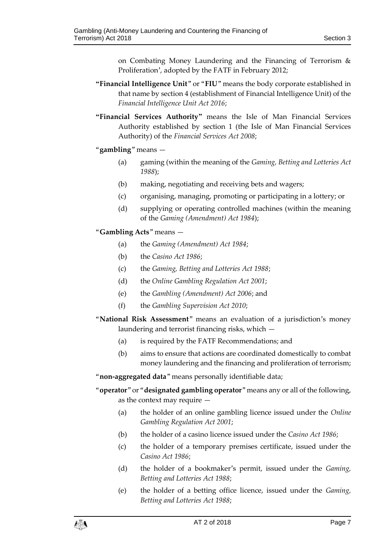on Combating Money Laundering and the Financing of Terrorism & Proliferation', adopted by the FATF in February 2012;

- **"Financial Intelligence Unit**" or "**FIU**" means the body corporate established in that name by section 4 (establishment of Financial Intelligence Unit) of the *Financial Intelligence Unit Act 2016*;
- **"Financial Services Authority"** means the Isle of Man Financial Services Authority established by section 1 (the Isle of Man Financial Services Authority) of the *Financial Services Act 2008*;

#### "**gambling**" means —

- (a) gaming (within the meaning of the *Gaming, Betting and Lotteries Act 1988*);
- (b) making, negotiating and receiving bets and wagers;
- (c) organising, managing, promoting or participating in a lottery; or
- (d) supplying or operating controlled machines (within the meaning of the *Gaming (Amendment) Act 1984*);

#### "**Gambling Acts**" means —

- (a) the *Gaming (Amendment) Act 1984*;
- (b) the *Casino Act 1986*;
- (c) the *Gaming, Betting and Lotteries Act 1988*;
- (d) the *Online Gambling Regulation Act 2001*;
- (e) the *Gambling (Amendment) Act 2006*; and
- (f) the *Gambling Supervision Act 2010*;
- "**National Risk Assessment**" means an evaluation of a jurisdiction's money laundering and terrorist financing risks, which —
	- (a) is required by the FATF Recommendations; and
	- (b) aims to ensure that actions are coordinated domestically to combat money laundering and the financing and proliferation of terrorism;

#### "**non-aggregated data**" means personally identifiable data;

- "**operator**" or "**designated gambling operator**" means any or all of the following, as the context may require —
	- (a) the holder of an online gambling licence issued under the *Online Gambling Regulation Act 2001*;
	- (b) the holder of a casino licence issued under the *Casino Act 1986*;
	- (c) the holder of a temporary premises certificate, issued under the *Casino Act 1986*;
	- (d) the holder of a bookmaker's permit, issued under the *Gaming, Betting and Lotteries Act 1988*;
	- (e) the holder of a betting office licence, issued under the *Gaming, Betting and Lotteries Act 1988*;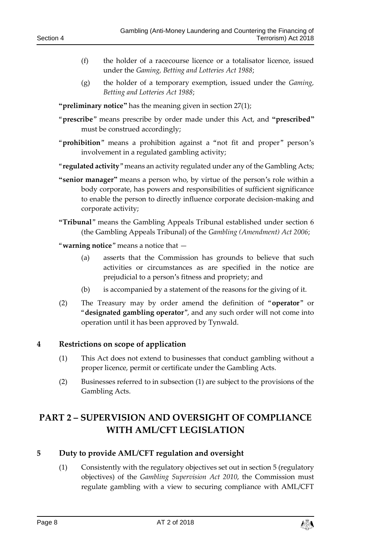- (f) the holder of a racecourse licence or a totalisator licence, issued under the *Gaming, Betting and Lotteries Act 1988*;
- (g) the holder of a temporary exemption, issued under the *Gaming, Betting and Lotteries Act 1988*;

**"preliminary notice"** has the meaning given in section 27(1);

- "**prescribe**" means prescribe by order made under this Act, and **"prescribed"** must be construed accordingly;
- "**prohibition**" means a prohibition against a "not fit and proper" person's involvement in a regulated gambling activity;
- "**regulated activity**" means an activity regulated under any of the Gambling Acts;
- **"senior manager"** means a person who, by virtue of the person's role within a body corporate, has powers and responsibilities of sufficient significance to enable the person to directly influence corporate decision-making and corporate activity;
- **"Tribunal**" means the Gambling Appeals Tribunal established under section 6 (the Gambling Appeals Tribunal) of the *Gambling (Amendment) Act 2006*;
- "**warning notice**" means a notice that
	- (a) asserts that the Commission has grounds to believe that such activities or circumstances as are specified in the notice are prejudicial to a person's fitness and propriety; and
	- (b) is accompanied by a statement of the reasons for the giving of it.
- (2) The Treasury may by order amend the definition of "**operator**" or "**designated gambling operator**", and any such order will not come into operation until it has been approved by Tynwald.

#### <span id="page-7-0"></span>**4 Restrictions on scope of application**

- (1) This Act does not extend to businesses that conduct gambling without a proper licence, permit or certificate under the Gambling Acts.
- (2) Businesses referred to in subsection (1) are subject to the provisions of the Gambling Acts.

## <span id="page-7-1"></span>**PART 2 – SUPERVISION AND OVERSIGHT OF COMPLIANCE WITH AML/CFT LEGISLATION**

#### <span id="page-7-2"></span>**5 Duty to provide AML/CFT regulation and oversight**

(1) Consistently with the regulatory objectives set out in section 5 (regulatory objectives) of the *Gambling Supervision Act 2010*, the Commission must regulate gambling with a view to securing compliance with AML/CFT

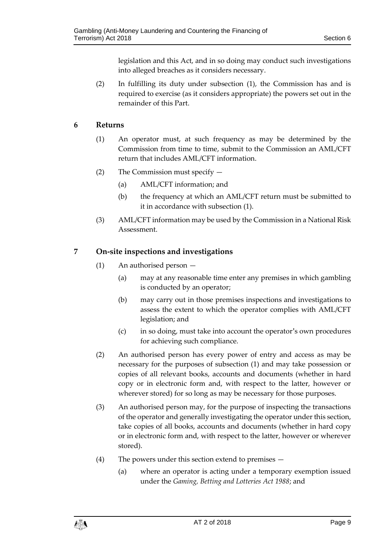legislation and this Act, and in so doing may conduct such investigations into alleged breaches as it considers necessary.

(2) In fulfilling its duty under subsection (1), the Commission has and is required to exercise (as it considers appropriate) the powers set out in the remainder of this Part.

#### <span id="page-8-0"></span>**6 Returns**

- (1) An operator must, at such frequency as may be determined by the Commission from time to time, submit to the Commission an AML/CFT return that includes AML/CFT information.
- (2) The Commission must specify
	- (a) AML/CFT information; and
	- (b) the frequency at which an AML/CFT return must be submitted to it in accordance with subsection (1).
- (3) AML/CFT information may be used by the Commission in a National Risk Assessment.

#### <span id="page-8-1"></span>**7 On-site inspections and investigations**

- (1) An authorised person
	- (a) may at any reasonable time enter any premises in which gambling is conducted by an operator;
	- (b) may carry out in those premises inspections and investigations to assess the extent to which the operator complies with AML/CFT legislation; and
	- (c) in so doing, must take into account the operator's own procedures for achieving such compliance.
- (2) An authorised person has every power of entry and access as may be necessary for the purposes of subsection (1) and may take possession or copies of all relevant books, accounts and documents (whether in hard copy or in electronic form and, with respect to the latter, however or wherever stored) for so long as may be necessary for those purposes.
- (3) An authorised person may, for the purpose of inspecting the transactions of the operator and generally investigating the operator under this section, take copies of all books, accounts and documents (whether in hard copy or in electronic form and, with respect to the latter, however or wherever stored).
- (4) The powers under this section extend to premises
	- (a) where an operator is acting under a temporary exemption issued under the *Gaming, Betting and Lotteries Act 1988*; and

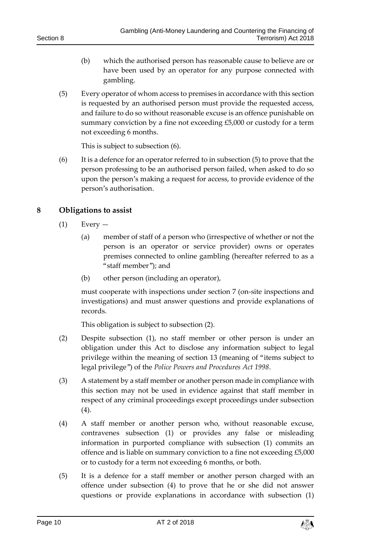- (b) which the authorised person has reasonable cause to believe are or have been used by an operator for any purpose connected with gambling.
- (5) Every operator of whom access to premises in accordance with this section is requested by an authorised person must provide the requested access, and failure to do so without reasonable excuse is an offence punishable on summary conviction by a fine not exceeding £5,000 or custody for a term not exceeding 6 months.

This is subject to subsection (6).

(6) It is a defence for an operator referred to in subsection (5) to prove that the person professing to be an authorised person failed, when asked to do so upon the person's making a request for access, to provide evidence of the person's authorisation.

#### <span id="page-9-0"></span>**8 Obligations to assist**

- $(1)$  Every
	- (a) member of staff of a person who (irrespective of whether or not the person is an operator or service provider) owns or operates premises connected to online gambling (hereafter referred to as a "staff member"); and
	- (b) other person (including an operator),

must cooperate with inspections under section 7 (on-site inspections and investigations) and must answer questions and provide explanations of records.

This obligation is subject to subsection (2).

- (2) Despite subsection (1), no staff member or other person is under an obligation under this Act to disclose any information subject to legal privilege within the meaning of section 13 (meaning of "items subject to legal privilege") of the *Police Powers and Procedures Act 1998*.
- (3) A statement by a staff member or another person made in compliance with this section may not be used in evidence against that staff member in respect of any criminal proceedings except proceedings under subsection (4).
- (4) A staff member or another person who, without reasonable excuse, contravenes subsection (1) or provides any false or misleading information in purported compliance with subsection (1) commits an offence and is liable on summary conviction to a fine not exceeding £5,000 or to custody for a term not exceeding 6 months, or both.
- (5) It is a defence for a staff member or another person charged with an offence under subsection (4) to prove that he or she did not answer questions or provide explanations in accordance with subsection (1)

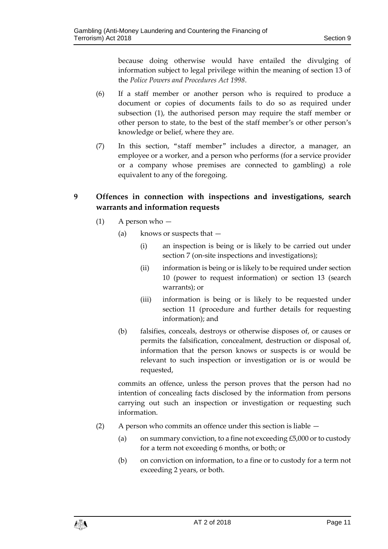because doing otherwise would have entailed the divulging of information subject to legal privilege within the meaning of section 13 of the *Police Powers and Procedures Act 1998*.

- (6) If a staff member or another person who is required to produce a document or copies of documents fails to do so as required under subsection (1), the authorised person may require the staff member or other person to state, to the best of the staff member's or other person's knowledge or belief, where they are.
- (7) In this section, "staff member" includes a director, a manager, an employee or a worker, and a person who performs (for a service provider or a company whose premises are connected to gambling) a role equivalent to any of the foregoing.

#### <span id="page-10-0"></span>**9 Offences in connection with inspections and investigations, search warrants and information requests**

- (1) A person who
	- (a) knows or suspects that
		- (i) an inspection is being or is likely to be carried out under section 7 (on-site inspections and investigations);
		- (ii) information is being or is likely to be required under section 10 (power to request information) or section 13 (search warrants); or
		- (iii) information is being or is likely to be requested under section 11 (procedure and further details for requesting information); and
	- (b) falsifies, conceals, destroys or otherwise disposes of, or causes or permits the falsification, concealment, destruction or disposal of, information that the person knows or suspects is or would be relevant to such inspection or investigation or is or would be requested,

commits an offence, unless the person proves that the person had no intention of concealing facts disclosed by the information from persons carrying out such an inspection or investigation or requesting such information.

- (2) A person who commits an offence under this section is liable
	- (a) on summary conviction, to a fine not exceeding  $£5,000$  or to custody for a term not exceeding 6 months, or both; or
	- (b) on conviction on information, to a fine or to custody for a term not exceeding 2 years, or both.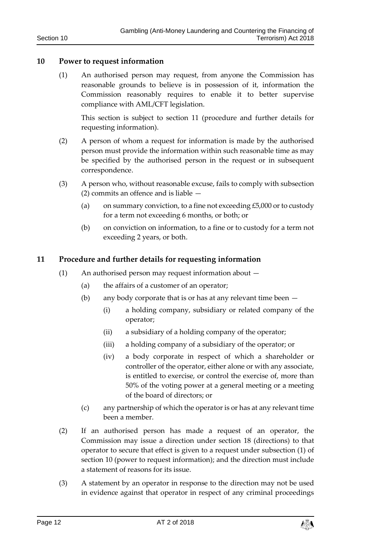#### <span id="page-11-0"></span>**10 Power to request information**

(1) An authorised person may request, from anyone the Commission has reasonable grounds to believe is in possession of it, information the Commission reasonably requires to enable it to better supervise compliance with AML/CFT legislation.

This section is subject to section 11 (procedure and further details for requesting information).

- (2) A person of whom a request for information is made by the authorised person must provide the information within such reasonable time as may be specified by the authorised person in the request or in subsequent correspondence.
- (3) A person who, without reasonable excuse, fails to comply with subsection (2) commits an offence and is liable —
	- (a) on summary conviction, to a fine not exceeding  $£5,000$  or to custody for a term not exceeding 6 months, or both; or
	- (b) on conviction on information, to a fine or to custody for a term not exceeding 2 years, or both.

#### <span id="page-11-1"></span>**11 Procedure and further details for requesting information**

- (1) An authorised person may request information about
	- (a) the affairs of a customer of an operator;
	- (b) any body corporate that is or has at any relevant time been
		- (i) a holding company, subsidiary or related company of the operator;
		- (ii) a subsidiary of a holding company of the operator;
		- (iii) a holding company of a subsidiary of the operator; or
		- (iv) a body corporate in respect of which a shareholder or controller of the operator, either alone or with any associate, is entitled to exercise, or control the exercise of, more than 50% of the voting power at a general meeting or a meeting of the board of directors; or
	- (c) any partnership of which the operator is or has at any relevant time been a member.
- (2) If an authorised person has made a request of an operator, the Commission may issue a direction under section 18 (directions) to that operator to secure that effect is given to a request under subsection (1) of section 10 (power to request information); and the direction must include a statement of reasons for its issue.
- (3) A statement by an operator in response to the direction may not be used in evidence against that operator in respect of any criminal proceedings

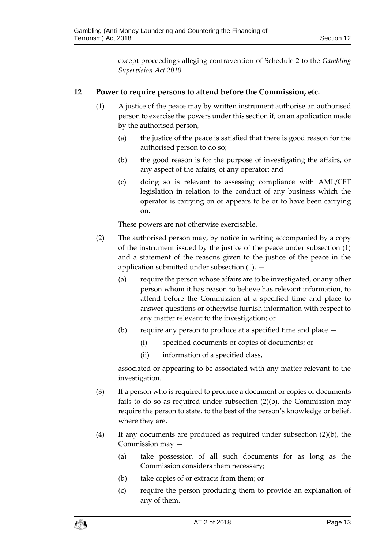except proceedings alleging contravention of Schedule 2 to the *Gambling Supervision Act 2010*.

#### <span id="page-12-0"></span>**12 Power to require persons to attend before the Commission, etc.**

- (1) A justice of the peace may by written instrument authorise an authorised person to exercise the powers under this section if, on an application made by the authorised person,—
	- (a) the justice of the peace is satisfied that there is good reason for the authorised person to do so;
	- (b) the good reason is for the purpose of investigating the affairs, or any aspect of the affairs, of any operator; and
	- (c) doing so is relevant to assessing compliance with AML/CFT legislation in relation to the conduct of any business which the operator is carrying on or appears to be or to have been carrying on.

These powers are not otherwise exercisable.

- (2) The authorised person may, by notice in writing accompanied by a copy of the instrument issued by the justice of the peace under subsection (1) and a statement of the reasons given to the justice of the peace in the application submitted under subsection  $(1)$ ,  $-$ 
	- (a) require the person whose affairs are to be investigated, or any other person whom it has reason to believe has relevant information, to attend before the Commission at a specified time and place to answer questions or otherwise furnish information with respect to any matter relevant to the investigation; or
	- (b) require any person to produce at a specified time and place
		- (i) specified documents or copies of documents; or
		- (ii) information of a specified class,

associated or appearing to be associated with any matter relevant to the investigation.

- (3) If a person who is required to produce a document or copies of documents fails to do so as required under subsection (2)(b), the Commission may require the person to state, to the best of the person's knowledge or belief, where they are.
- (4) If any documents are produced as required under subsection (2)(b), the Commission may —
	- (a) take possession of all such documents for as long as the Commission considers them necessary;
	- (b) take copies of or extracts from them; or
	- (c) require the person producing them to provide an explanation of any of them.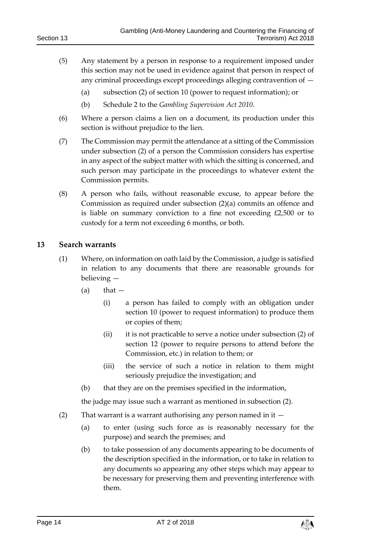- (5) Any statement by a person in response to a requirement imposed under this section may not be used in evidence against that person in respect of any criminal proceedings except proceedings alleging contravention of —
	- (a) subsection (2) of section 10 (power to request information); or
	- (b) Schedule 2 to the *Gambling Supervision Act 2010*.
- (6) Where a person claims a lien on a document, its production under this section is without prejudice to the lien.
- (7) The Commission may permit the attendance at a sitting of the Commission under subsection (2) of a person the Commission considers has expertise in any aspect of the subject matter with which the sitting is concerned, and such person may participate in the proceedings to whatever extent the Commission permits.
- (8) A person who fails, without reasonable excuse, to appear before the Commission as required under subsection (2)(a) commits an offence and is liable on summary conviction to a fine not exceeding £2,500 or to custody for a term not exceeding 6 months, or both.

#### <span id="page-13-0"></span>**13 Search warrants**

- (1) Where, on information on oath laid by the Commission, a judge is satisfied in relation to any documents that there are reasonable grounds for believing —
	- $(a)$  that  $-$ 
		- (i) a person has failed to comply with an obligation under section 10 (power to request information) to produce them or copies of them;
		- (ii) it is not practicable to serve a notice under subsection (2) of section 12 (power to require persons to attend before the Commission, etc.) in relation to them; or
		- (iii) the service of such a notice in relation to them might seriously prejudice the investigation; and
	- (b) that they are on the premises specified in the information,

the judge may issue such a warrant as mentioned in subsection (2).

- (2) That warrant is a warrant authorising any person named in it
	- (a) to enter (using such force as is reasonably necessary for the purpose) and search the premises; and
	- (b) to take possession of any documents appearing to be documents of the description specified in the information, or to take in relation to any documents so appearing any other steps which may appear to be necessary for preserving them and preventing interference with them.

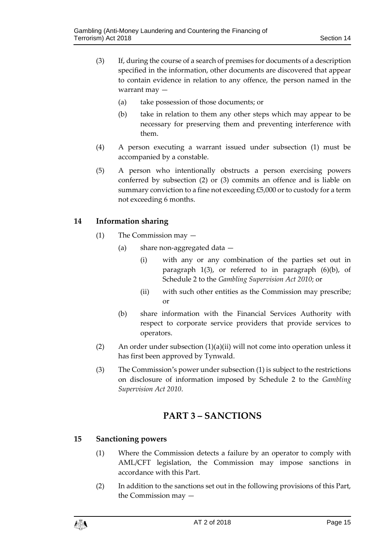- (3) If, during the course of a search of premises for documents of a description specified in the information, other documents are discovered that appear to contain evidence in relation to any offence, the person named in the warrant may —
	- (a) take possession of those documents; or
	- (b) take in relation to them any other steps which may appear to be necessary for preserving them and preventing interference with them.
- (4) A person executing a warrant issued under subsection (1) must be accompanied by a constable.
- (5) A person who intentionally obstructs a person exercising powers conferred by subsection (2) or (3) commits an offence and is liable on summary conviction to a fine not exceeding £5,000 or to custody for a term not exceeding 6 months.

#### <span id="page-14-0"></span>**14 Information sharing**

- (1) The Commission may
	- (a) share non-aggregated data
		- (i) with any or any combination of the parties set out in paragraph 1(3), or referred to in paragraph (6)(b), of Schedule 2 to the *Gambling Supervision Act 2010*; or
		- (ii) with such other entities as the Commission may prescribe; or
	- (b) share information with the Financial Services Authority with respect to corporate service providers that provide services to operators.
- (2) An order under subsection  $(1)(a)(ii)$  will not come into operation unless it has first been approved by Tynwald.
- <span id="page-14-1"></span>(3) The Commission's power under subsection (1) is subject to the restrictions on disclosure of information imposed by Schedule 2 to the *Gambling Supervision Act 2010*.

### **PART 3 – SANCTIONS**

#### <span id="page-14-2"></span>**15 Sanctioning powers**

- (1) Where the Commission detects a failure by an operator to comply with AML/CFT legislation, the Commission may impose sanctions in accordance with this Part.
- (2) In addition to the sanctions set out in the following provisions of this Part, the Commission may —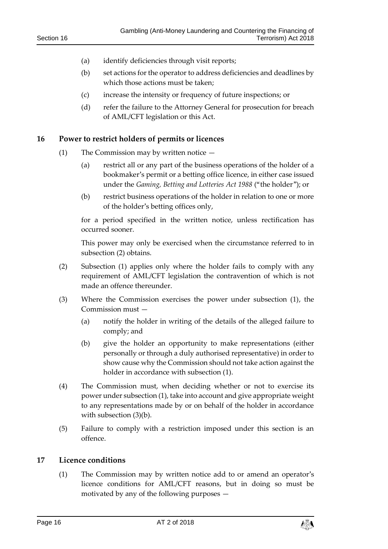- (a) identify deficiencies through visit reports;
- (b) set actions for the operator to address deficiencies and deadlines by which those actions must be taken;
- (c) increase the intensity or frequency of future inspections; or
- (d) refer the failure to the Attorney General for prosecution for breach of AML/CFT legislation or this Act.

#### <span id="page-15-0"></span>**16 Power to restrict holders of permits or licences**

- (1) The Commission may by written notice
	- (a) restrict all or any part of the business operations of the holder of a bookmaker's permit or a betting office licence, in either case issued under the *Gaming, Betting and Lotteries Act 1988* ("the holder"); or
	- (b) restrict business operations of the holder in relation to one or more of the holder's betting offices only,

for a period specified in the written notice, unless rectification has occurred sooner.

This power may only be exercised when the circumstance referred to in subsection (2) obtains.

- (2) Subsection (1) applies only where the holder fails to comply with any requirement of AML/CFT legislation the contravention of which is not made an offence thereunder.
- (3) Where the Commission exercises the power under subsection (1), the Commission must —
	- (a) notify the holder in writing of the details of the alleged failure to comply; and
	- (b) give the holder an opportunity to make representations (either personally or through a duly authorised representative) in order to show cause why the Commission should not take action against the holder in accordance with subsection (1).
- (4) The Commission must, when deciding whether or not to exercise its power under subsection (1), take into account and give appropriate weight to any representations made by or on behalf of the holder in accordance with subsection (3)(b).
- (5) Failure to comply with a restriction imposed under this section is an offence.

#### <span id="page-15-1"></span>**17 Licence conditions**

(1) The Commission may by written notice add to or amend an operator's licence conditions for AML/CFT reasons, but in doing so must be motivated by any of the following purposes —

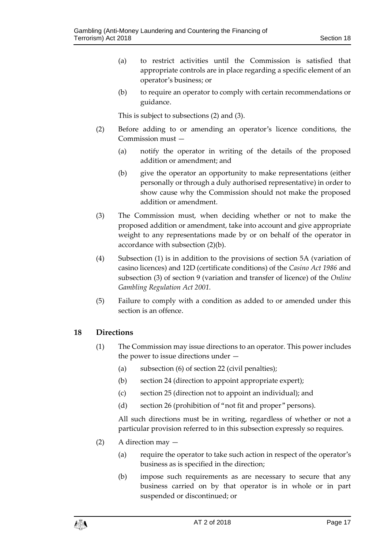- (a) to restrict activities until the Commission is satisfied that appropriate controls are in place regarding a specific element of an operator's business; or
- (b) to require an operator to comply with certain recommendations or guidance.

This is subject to subsections (2) and (3).

- (2) Before adding to or amending an operator's licence conditions, the Commission must —
	- (a) notify the operator in writing of the details of the proposed addition or amendment; and
	- (b) give the operator an opportunity to make representations (either personally or through a duly authorised representative) in order to show cause why the Commission should not make the proposed addition or amendment.
- (3) The Commission must, when deciding whether or not to make the proposed addition or amendment, take into account and give appropriate weight to any representations made by or on behalf of the operator in accordance with subsection (2)(b).
- (4) Subsection (1) is in addition to the provisions of section 5A (variation of casino licences) and 12D (certificate conditions) of the *Casino Act 1986* and subsection (3) of section 9 (variation and transfer of licence) of the *Online Gambling Regulation Act 2001.*
- (5) Failure to comply with a condition as added to or amended under this section is an offence.

#### <span id="page-16-0"></span>**18 Directions**

- (1) The Commission may issue directions to an operator. This power includes the power to issue directions under —
	- (a) subsection (6) of section 22 (civil penalties);
	- (b) section 24 (direction to appoint appropriate expert);
	- (c) section 25 (direction not to appoint an individual); and
	- (d) section 26 (prohibition of "not fit and proper" persons).

All such directions must be in writing, regardless of whether or not a particular provision referred to in this subsection expressly so requires.

- (2) A direction may
	- (a) require the operator to take such action in respect of the operator's business as is specified in the direction;
	- (b) impose such requirements as are necessary to secure that any business carried on by that operator is in whole or in part suspended or discontinued; or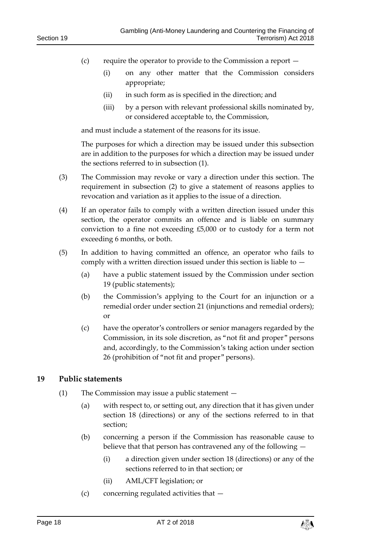- (c) require the operator to provide to the Commission a report
	- (i) on any other matter that the Commission considers appropriate;
	- (ii) in such form as is specified in the direction; and
	- (iii) by a person with relevant professional skills nominated by, or considered acceptable to, the Commission,

and must include a statement of the reasons for its issue.

The purposes for which a direction may be issued under this subsection are in addition to the purposes for which a direction may be issued under the sections referred to in subsection (1).

- (3) The Commission may revoke or vary a direction under this section. The requirement in subsection (2) to give a statement of reasons applies to revocation and variation as it applies to the issue of a direction.
- (4) If an operator fails to comply with a written direction issued under this section, the operator commits an offence and is liable on summary conviction to a fine not exceeding £5,000 or to custody for a term not exceeding 6 months, or both.
- (5) In addition to having committed an offence, an operator who fails to comply with a written direction issued under this section is liable to —
	- (a) have a public statement issued by the Commission under section 19 (public statements);
	- (b) the Commission's applying to the Court for an injunction or a remedial order under section 21 (injunctions and remedial orders); or
	- (c) have the operator's controllers or senior managers regarded by the Commission, in its sole discretion, as "not fit and proper" persons and, accordingly, to the Commission's taking action under section 26 (prohibition of "not fit and proper" persons).

#### <span id="page-17-0"></span>**19 Public statements**

- (1) The Commission may issue a public statement
	- (a) with respect to, or setting out, any direction that it has given under section 18 (directions) or any of the sections referred to in that section;
	- (b) concerning a person if the Commission has reasonable cause to believe that that person has contravened any of the following —
		- (i) a direction given under section 18 (directions) or any of the sections referred to in that section; or
		- (ii) AML/CFT legislation; or
	- (c) concerning regulated activities that —

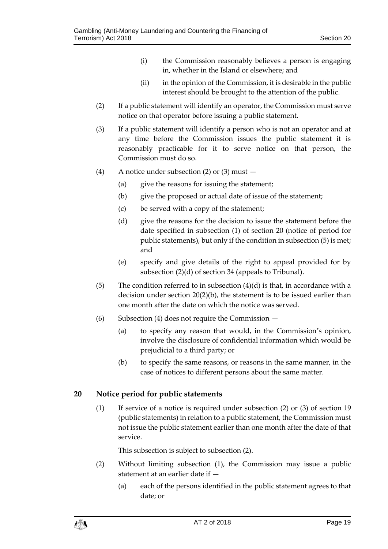- (i) the Commission reasonably believes a person is engaging in, whether in the Island or elsewhere; and
- (ii) in the opinion of the Commission, it is desirable in the public interest should be brought to the attention of the public.
- (2) If a public statement will identify an operator, the Commission must serve notice on that operator before issuing a public statement.
- (3) If a public statement will identify a person who is not an operator and at any time before the Commission issues the public statement it is reasonably practicable for it to serve notice on that person, the Commission must do so.
- (4) A notice under subsection (2) or (3) must
	- (a) give the reasons for issuing the statement;
	- (b) give the proposed or actual date of issue of the statement;
	- (c) be served with a copy of the statement;
	- (d) give the reasons for the decision to issue the statement before the date specified in subsection (1) of section 20 (notice of period for public statements), but only if the condition in subsection (5) is met; and
	- (e) specify and give details of the right to appeal provided for by subsection (2)(d) of section 34 (appeals to Tribunal).
- (5) The condition referred to in subsection  $(4)(d)$  is that, in accordance with a decision under section 20(2)(b), the statement is to be issued earlier than one month after the date on which the notice was served.
- (6) Subsection (4) does not require the Commission
	- (a) to specify any reason that would, in the Commission's opinion, involve the disclosure of confidential information which would be prejudicial to a third party; or
	- (b) to specify the same reasons, or reasons in the same manner, in the case of notices to different persons about the same matter.

#### <span id="page-18-0"></span>**20 Notice period for public statements**

(1) If service of a notice is required under subsection (2) or (3) of section 19 (public statements) in relation to a public statement, the Commission must not issue the public statement earlier than one month after the date of that service.

This subsection is subject to subsection (2).

- (2) Without limiting subsection (1), the Commission may issue a public statement at an earlier date if —
	- (a) each of the persons identified in the public statement agrees to that date; or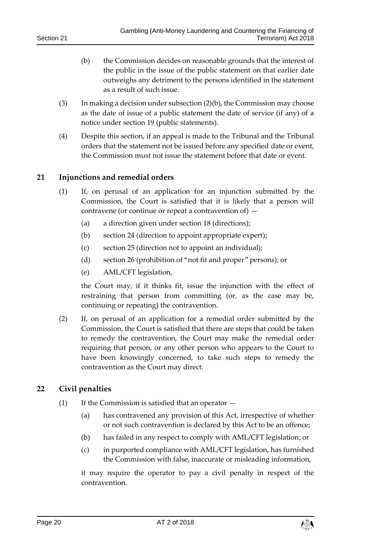- (b) the Commission decides on reasonable grounds that the interest of the public in the issue of the public statement on that earlier date outweighs any detriment to the persons identified in the statement as a result of such issue.
- (3) In making a decision under subsection (2)(b), the Commission may choose as the date of issue of a public statement the date of service (if any) of a notice under section 19 (public statements).
- (4) Despite this section, if an appeal is made to the Tribunal and the Tribunal orders that the statement not be issued before any specified date or event, the Commission must not issue the statement before that date or event.

#### <span id="page-19-0"></span>**21 Injunctions and remedial orders**

- (1) If, on perusal of an application for an injunction submitted by the Commission, the Court is satisfied that it is likely that a person will contravene (or continue or repeat a contravention of) —
	- (a) a direction given under section 18 (directions);
	- (b) section 24 (direction to appoint appropriate expert);
	- (c) section 25 (direction not to appoint an individual);
	- (d) section 26 (prohibition of "not fit and proper" persons); or
	- (e) AML/CFT legislation,

the Court may, if it thinks fit, issue the injunction with the effect of restraining that person from committing (or, as the case may be, continuing or repeating) the contravention.

(2) If, on perusal of an application for a remedial order submitted by the Commission, the Court is satisfied that there are steps that could be taken to remedy the contravention, the Court may make the remedial order requiring that person, or any other person who appears to the Court to have been knowingly concerned, to take such steps to remedy the contravention as the Court may direct.

#### <span id="page-19-1"></span>**22 Civil penalties**

- (1) If the Commission is satisfied that an operator  $-$ 
	- (a) has contravened any provision of this Act, irrespective of whether or not such contravention is declared by this Act to be an offence;
	- (b) has failed in any respect to comply with AML/CFT legislation; or
	- (c) in purported compliance with AML/CFT legislation, has furnished the Commission with false, inaccurate or misleading information,

it may require the operator to pay a civil penalty in respect of the contravention.

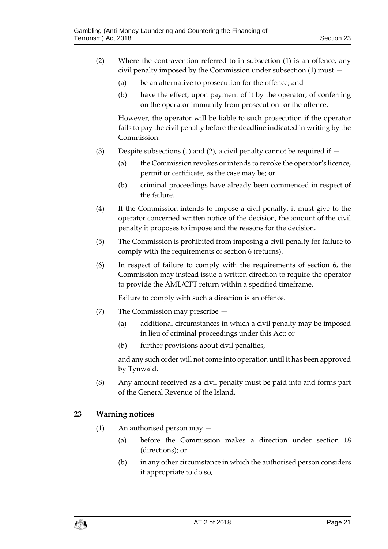- (2) Where the contravention referred to in subsection (1) is an offence, any civil penalty imposed by the Commission under subsection (1) must —
	- (a) be an alternative to prosecution for the offence; and
	- (b) have the effect, upon payment of it by the operator, of conferring on the operator immunity from prosecution for the offence.

However, the operator will be liable to such prosecution if the operator fails to pay the civil penalty before the deadline indicated in writing by the Commission.

- (3) Despite subsections (1) and (2), a civil penalty cannot be required if  $-$ 
	- (a) the Commission revokes or intends to revoke the operator's licence, permit or certificate, as the case may be; or
	- (b) criminal proceedings have already been commenced in respect of the failure.
- (4) If the Commission intends to impose a civil penalty, it must give to the operator concerned written notice of the decision, the amount of the civil penalty it proposes to impose and the reasons for the decision.
- (5) The Commission is prohibited from imposing a civil penalty for failure to comply with the requirements of section 6 (returns).
- (6) In respect of failure to comply with the requirements of section 6, the Commission may instead issue a written direction to require the operator to provide the AML/CFT return within a specified timeframe.

Failure to comply with such a direction is an offence.

- (7) The Commission may prescribe
	- (a) additional circumstances in which a civil penalty may be imposed in lieu of criminal proceedings under this Act; or
	- (b) further provisions about civil penalties,

and any such order will not come into operation until it has been approved by Tynwald.

(8) Any amount received as a civil penalty must be paid into and forms part of the General Revenue of the Island.

#### <span id="page-20-0"></span>**23 Warning notices**

- (1) An authorised person may
	- (a) before the Commission makes a direction under section 18 (directions); or
	- (b) in any other circumstance in which the authorised person considers it appropriate to do so,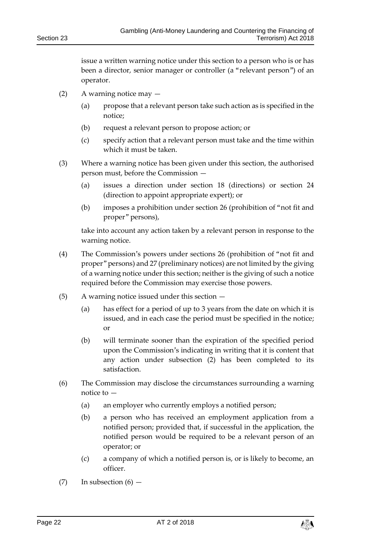issue a written warning notice under this section to a person who is or has been a director, senior manager or controller (a "relevant person") of an operator.

- (2) A warning notice may  $-$ 
	- (a) propose that a relevant person take such action as is specified in the notice;
	- (b) request a relevant person to propose action; or
	- (c) specify action that a relevant person must take and the time within which it must be taken.
- (3) Where a warning notice has been given under this section, the authorised person must, before the Commission —
	- (a) issues a direction under section 18 (directions) or section 24 (direction to appoint appropriate expert); or
	- (b) imposes a prohibition under section 26 (prohibition of "not fit and proper" persons),

take into account any action taken by a relevant person in response to the warning notice.

- (4) The Commission's powers under sections 26 (prohibition of "not fit and proper" persons) and 27 (preliminary notices) are not limited by the giving of a warning notice under this section; neither is the giving of such a notice required before the Commission may exercise those powers.
- (5) A warning notice issued under this section
	- (a) has effect for a period of up to 3 years from the date on which it is issued, and in each case the period must be specified in the notice; or
	- (b) will terminate sooner than the expiration of the specified period upon the Commission's indicating in writing that it is content that any action under subsection (2) has been completed to its satisfaction.
- (6) The Commission may disclose the circumstances surrounding a warning notice to —
	- (a) an employer who currently employs a notified person;
	- (b) a person who has received an employment application from a notified person; provided that, if successful in the application, the notified person would be required to be a relevant person of an operator; or
	- (c) a company of which a notified person is, or is likely to become, an officer.
- $(7)$  In subsection  $(6)$  —

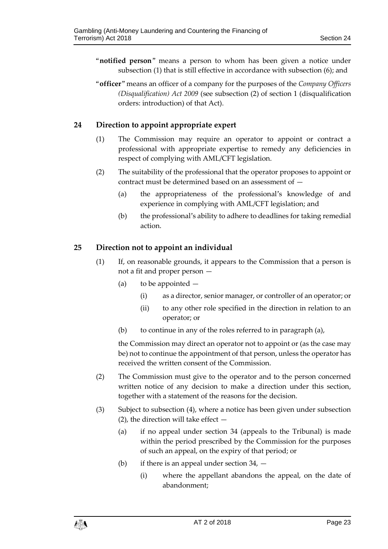- "**notified person**" means a person to whom has been given a notice under subsection (1) that is still effective in accordance with subsection (6); and
- "**officer**" means an officer of a company for the purposes of the *Company Officers (Disqualification) Act 2009* (see subsection (2) of section 1 (disqualification orders: introduction) of that Act).

#### <span id="page-22-0"></span>**24 Direction to appoint appropriate expert**

- (1) The Commission may require an operator to appoint or contract a professional with appropriate expertise to remedy any deficiencies in respect of complying with AML/CFT legislation.
- (2) The suitability of the professional that the operator proposes to appoint or contract must be determined based on an assessment of —
	- (a) the appropriateness of the professional's knowledge of and experience in complying with AML/CFT legislation; and
	- (b) the professional's ability to adhere to deadlines for taking remedial action.

#### <span id="page-22-1"></span>**25 Direction not to appoint an individual**

- (1) If, on reasonable grounds, it appears to the Commission that a person is not a fit and proper person —
	- (a) to be appointed
		- (i) as a director, senior manager, or controller of an operator; or
		- (ii) to any other role specified in the direction in relation to an operator; or
	- (b) to continue in any of the roles referred to in paragraph (a),

the Commission may direct an operator not to appoint or (as the case may be) not to continue the appointment of that person, unless the operator has received the written consent of the Commission.

- (2) The Commission must give to the operator and to the person concerned written notice of any decision to make a direction under this section, together with a statement of the reasons for the decision.
- (3) Subject to subsection (4), where a notice has been given under subsection (2), the direction will take effect  $-$ 
	- (a) if no appeal under section 34 (appeals to the Tribunal) is made within the period prescribed by the Commission for the purposes of such an appeal, on the expiry of that period; or
	- (b) if there is an appeal under section 34,
		- (i) where the appellant abandons the appeal, on the date of abandonment;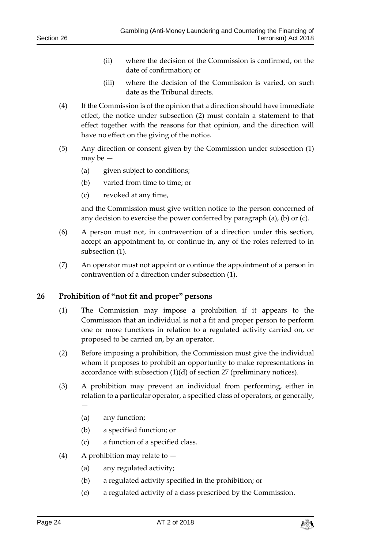- (ii) where the decision of the Commission is confirmed, on the date of confirmation; or
- (iii) where the decision of the Commission is varied, on such date as the Tribunal directs.
- (4) If the Commission is of the opinion that a direction should have immediate effect, the notice under subsection (2) must contain a statement to that effect together with the reasons for that opinion, and the direction will have no effect on the giving of the notice.
- (5) Any direction or consent given by the Commission under subsection (1) may be —
	- (a) given subject to conditions;
	- (b) varied from time to time; or
	- (c) revoked at any time,

and the Commission must give written notice to the person concerned of any decision to exercise the power conferred by paragraph (a), (b) or (c).

- (6) A person must not, in contravention of a direction under this section, accept an appointment to, or continue in, any of the roles referred to in subsection (1).
- (7) An operator must not appoint or continue the appointment of a person in contravention of a direction under subsection (1).

#### <span id="page-23-0"></span>**26 Prohibition of "not fit and proper" persons**

- (1) The Commission may impose a prohibition if it appears to the Commission that an individual is not a fit and proper person to perform one or more functions in relation to a regulated activity carried on, or proposed to be carried on, by an operator.
- (2) Before imposing a prohibition, the Commission must give the individual whom it proposes to prohibit an opportunity to make representations in accordance with subsection (1)(d) of section 27 (preliminary notices).
- (3) A prohibition may prevent an individual from performing, either in relation to a particular operator, a specified class of operators, or generally, —
	- (a) any function;
	- (b) a specified function; or
	- (c) a function of a specified class.
- (4) A prohibition may relate to  $-$ 
	- (a) any regulated activity;
	- (b) a regulated activity specified in the prohibition; or
	- (c) a regulated activity of a class prescribed by the Commission.

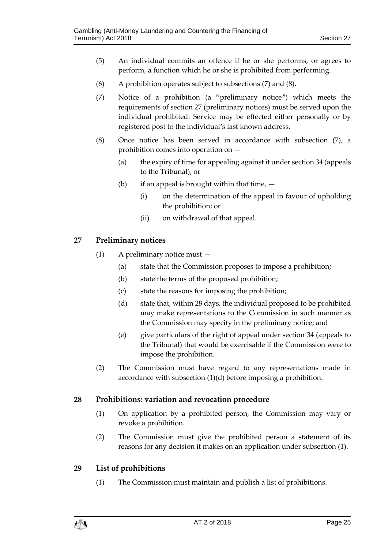- (5) An individual commits an offence if he or she performs, or agrees to perform, a function which he or she is prohibited from performing.
- (6) A prohibition operates subject to subsections (7) and (8).
- (7) Notice of a prohibition (a "preliminary notice") which meets the requirements of section 27 (preliminary notices) must be served upon the individual prohibited. Service may be effected either personally or by registered post to the individual's last known address.
- (8) Once notice has been served in accordance with subsection (7), a prohibition comes into operation on —
	- (a) the expiry of time for appealing against it under section 34 (appeals to the Tribunal); or
	- (b) if an appeal is brought within that time,  $-$ 
		- (i) on the determination of the appeal in favour of upholding the prohibition; or
		- (ii) on withdrawal of that appeal.

#### <span id="page-24-0"></span>**27 Preliminary notices**

- (1) A preliminary notice must
	- (a) state that the Commission proposes to impose a prohibition;
	- (b) state the terms of the proposed prohibition;
	- (c) state the reasons for imposing the prohibition;
	- (d) state that, within 28 days, the individual proposed to be prohibited may make representations to the Commission in such manner as the Commission may specify in the preliminary notice; and
	- (e) give particulars of the right of appeal under section 34 (appeals to the Tribunal) that would be exercisable if the Commission were to impose the prohibition.
- (2) The Commission must have regard to any representations made in accordance with subsection (1)(d) before imposing a prohibition.

#### <span id="page-24-1"></span>**28 Prohibitions: variation and revocation procedure**

- (1) On application by a prohibited person, the Commission may vary or revoke a prohibition.
- (2) The Commission must give the prohibited person a statement of its reasons for any decision it makes on an application under subsection (1).

#### <span id="page-24-2"></span>**29 List of prohibitions**

(1) The Commission must maintain and publish a list of prohibitions.

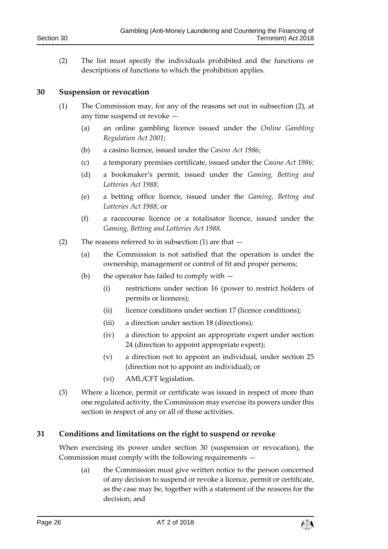(2) The list must specify the individuals prohibited and the functions or descriptions of functions to which the prohibition applies.

#### <span id="page-25-0"></span>**30 Suspension or revocation**

- (1) The Commission may, for any of the reasons set out in subsection (2), at any time suspend or revoke —
	- (a) an online gambling licence issued under the *Online Gambling Regulation Act 2001*;
	- (b) a casino licence, issued under the *Casino Act 1986*;
	- (c) a temporary premises certificate, issued under the *Casino Act 1986;*
	- (d) a bookmaker's permit, issued under the *Gaming, Betting and Lotteries Act 1988;*
	- (e) a betting office licence, issued under the *Gaming, Betting and Lotteries Act 1988*; or
	- (f) a racecourse licence or a totalisator licence, issued under the *Gaming, Betting and Lotteries Act 1988.*
- (2) The reasons referred to in subsection (1) are that  $-$ 
	- (a) the Commission is not satisfied that the operation is under the ownership, management or control of fit and proper persons;
	- (b) the operator has failed to comply with  $-$ 
		- (i) restrictions under section 16 (power to restrict holders of permits or licences);
		- (ii) licence conditions under section 17 (licence conditions);
		- (iii) a direction under section 18 (directions);
		- (iv) a direction to appoint an appropriate expert under section 24 (direction to appoint appropriate expert);
		- (v) a direction not to appoint an individual, under section 25 (direction not to appoint an individual); or
		- (vi) AML/CFT legislation.
- (3) Where a licence, permit or certificate was issued in respect of more than one regulated activity, the Commission may exercise its powers under this section in respect of any or all of those activities.

#### <span id="page-25-1"></span>**31 Conditions and limitations on the right to suspend or revoke**

When exercising its power under section 30 (suspension or revocation), the Commission must comply with the following requirements —

(a) the Commission must give written notice to the person concerned of any decision to suspend or revoke a licence, permit or certificate, as the case may be, together with a statement of the reasons for the decision; and

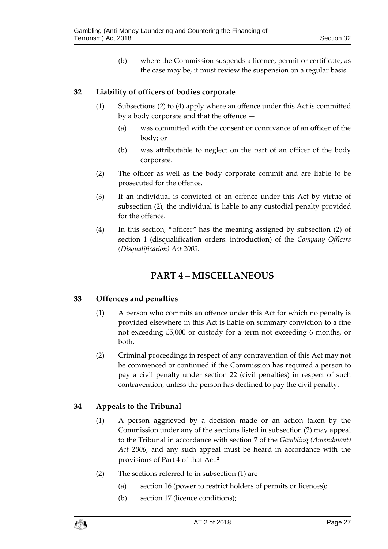(b) where the Commission suspends a licence, permit or certificate, as the case may be, it must review the suspension on a regular basis.

#### <span id="page-26-0"></span>**32 Liability of officers of bodies corporate**

- (1) Subsections (2) to (4) apply where an offence under this Act is committed by a body corporate and that the offence —
	- (a) was committed with the consent or connivance of an officer of the body; or
	- (b) was attributable to neglect on the part of an officer of the body corporate.
- (2) The officer as well as the body corporate commit and are liable to be prosecuted for the offence.
- (3) If an individual is convicted of an offence under this Act by virtue of subsection (2), the individual is liable to any custodial penalty provided for the offence.
- <span id="page-26-1"></span>(4) In this section, "officer" has the meaning assigned by subsection (2) of section 1 (disqualification orders: introduction) of the *Company Officers (Disqualification) Act 2009*.

## **PART 4 – MISCELLANEOUS**

#### <span id="page-26-2"></span>**33 Offences and penalties**

- (1) A person who commits an offence under this Act for which no penalty is provided elsewhere in this Act is liable on summary conviction to a fine not exceeding £5,000 or custody for a term not exceeding 6 months, or both.
- (2) Criminal proceedings in respect of any contravention of this Act may not be commenced or continued if the Commission has required a person to pay a civil penalty under section 22 (civil penalties) in respect of such contravention, unless the person has declined to pay the civil penalty.

#### <span id="page-26-3"></span>**34 Appeals to the Tribunal**

- (1) A person aggrieved by a decision made or an action taken by the Commission under any of the sections listed in subsection (2) may appeal to the Tribunal in accordance with section 7 of the *Gambling (Amendment) Act 2006*, and any such appeal must be heard in accordance with the provisions of Part 4 of that Act.**<sup>2</sup>**
- (2) The sections referred to in subsection (1) are  $-$ 
	- (a) section 16 (power to restrict holders of permits or licences);
	- (b) section 17 (licence conditions);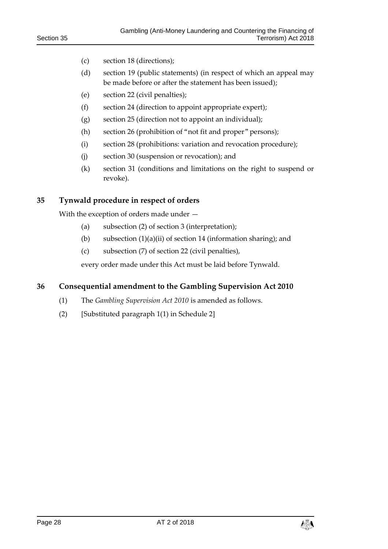- (c) section 18 (directions);
- (d) section 19 (public statements) (in respect of which an appeal may be made before or after the statement has been issued);
- (e) section 22 (civil penalties);
- (f) section 24 (direction to appoint appropriate expert);
- (g) section 25 (direction not to appoint an individual);
- (h) section 26 (prohibition of "not fit and proper" persons);
- (i) section 28 (prohibitions: variation and revocation procedure);
- (j) section 30 (suspension or revocation); and
- (k) section 31 (conditions and limitations on the right to suspend or revoke).

#### <span id="page-27-0"></span>**35 Tynwald procedure in respect of orders**

With the exception of orders made under —

- (a) subsection (2) of section 3 (interpretation);
- (b) subsection (1)(a)(ii) of section 14 (information sharing); and
- (c) subsection (7) of section 22 (civil penalties),

every order made under this Act must be laid before Tynwald.

#### <span id="page-27-1"></span>**36 Consequential amendment to the Gambling Supervision Act 2010**

- (1) The *Gambling Supervision Act 2010* is amended as follows.
- (2) [Substituted paragraph 1(1) in Schedule 2]